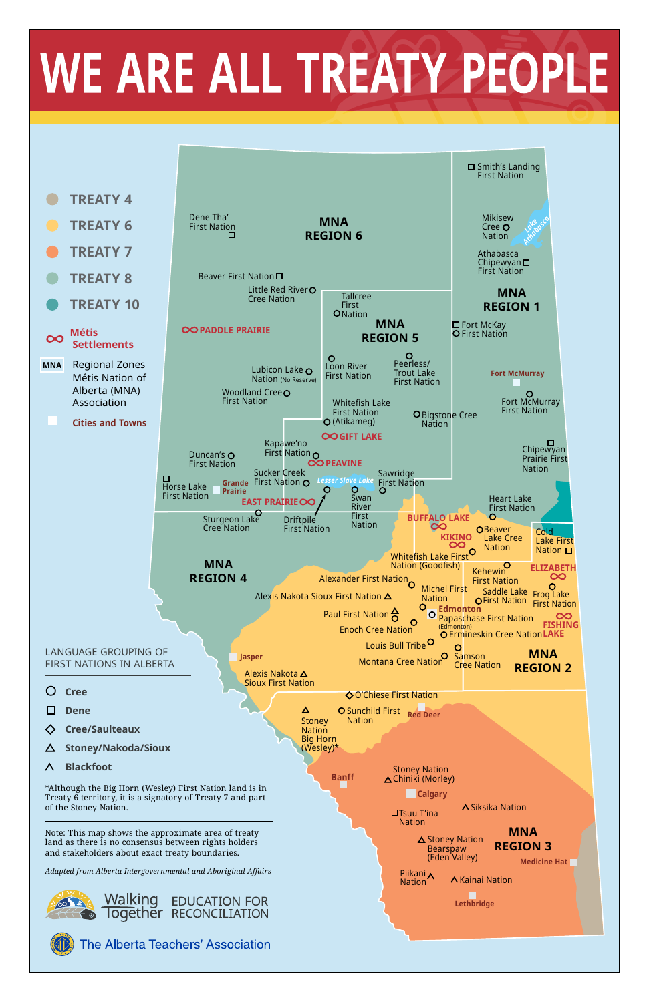Note: This map shows the approximate area of treaty land as there is no consensus between rights holders and stakeholders about exact treaty boundaries.

*Adapted from Alberta Intergovernmental and Aboriginal Affairs*





**The Alberta Teachers' Association** 

#### **Blackfoot** Λ

#### **Stoney/Nakoda/Sioux**

\*Although the Big Horn (Wesley) First Nation land is in Treaty 6 territory, it is a signatory of Treaty 7 and part of the Stoney Nation.

**MNA REGION 3** Piikani **Nation** Siksika Nation Tsuu T'ina Nation Kainai Nation Stoney Nation Chiniki (Morley) **Calgary**  $\triangle$  Stoney Nation Bearspaw (Eden Valley) **Medicine Hat Lethbridge**

(Wesley)\*

# WE ARE ALL TREATY PEOPLE



**Banff**